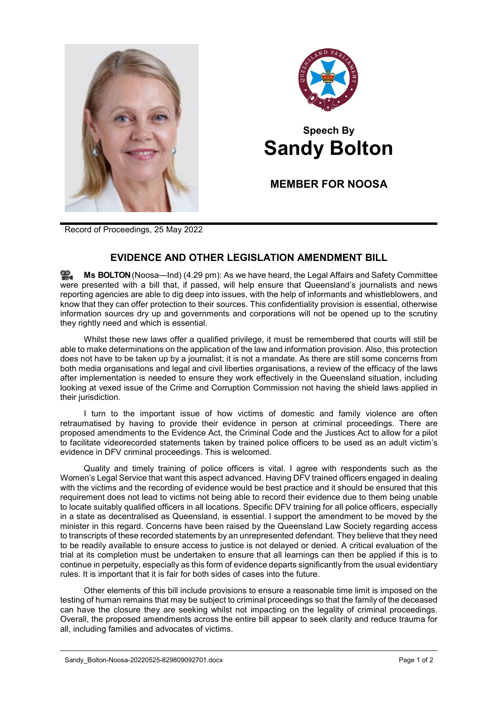



## **Speech By Sandy Bolton**

**MEMBER FOR NOOSA**

Record of Proceedings, 25 May 2022

## **EVIDENCE AND OTHER LEGISLATION AMENDMENT BILL**

≌. **Ms [BOLTON](http://www.parliament.qld.gov.au/docs/find.aspx?id=0Mba20220525_162904)**(Noosa—Ind) (4.29 pm): As we have heard, the Legal Affairs and Safety Committee were presented with a bill that, if passed, will help ensure that Queensland's journalists and news reporting agencies are able to dig deep into issues, with the help of informants and whistleblowers, and know that they can offer protection to their sources. This confidentiality provision is essential, otherwise information sources dry up and governments and corporations will not be opened up to the scrutiny they rightly need and which is essential.

Whilst these new laws offer a qualified privilege, it must be remembered that courts will still be able to make determinations on the application of the law and information provision. Also, this protection does not have to be taken up by a journalist; it is not a mandate. As there are still some concerns from both media organisations and legal and civil liberties organisations, a review of the efficacy of the laws after implementation is needed to ensure they work effectively in the Queensland situation, including looking at vexed issue of the Crime and Corruption Commission not having the shield laws applied in their jurisdiction.

I turn to the important issue of how victims of domestic and family violence are often retraumatised by having to provide their evidence in person at criminal proceedings. There are proposed amendments to the Evidence Act, the Criminal Code and the Justices Act to allow for a pilot to facilitate videorecorded statements taken by trained police officers to be used as an adult victim's evidence in DFV criminal proceedings. This is welcomed.

Quality and timely training of police officers is vital. I agree with respondents such as the Women's Legal Service that want this aspect advanced. Having DFV trained officers engaged in dealing with the victims and the recording of evidence would be best practice and it should be ensured that this requirement does not lead to victims not being able to record their evidence due to them being unable to locate suitably qualified officers in all locations. Specific DFV training for all police officers, especially in a state as decentralised as Queensland, is essential. I support the amendment to be moved by the minister in this regard. Concerns have been raised by the Queensland Law Society regarding access to transcripts of these recorded statements by an unrepresented defendant. They believe that they need to be readily available to ensure access to justice is not delayed or denied. A critical evaluation of the trial at its completion must be undertaken to ensure that all learnings can then be applied if this is to continue in perpetuity, especially as this form of evidence departs significantly from the usual evidentiary rules. It is important that it is fair for both sides of cases into the future.

Other elements of this bill include provisions to ensure a reasonable time limit is imposed on the testing of human remains that may be subject to criminal proceedings so that the family of the deceased can have the closure they are seeking whilst not impacting on the legality of criminal proceedings. Overall, the proposed amendments across the entire bill appear to seek clarity and reduce trauma for all, including families and advocates of victims.